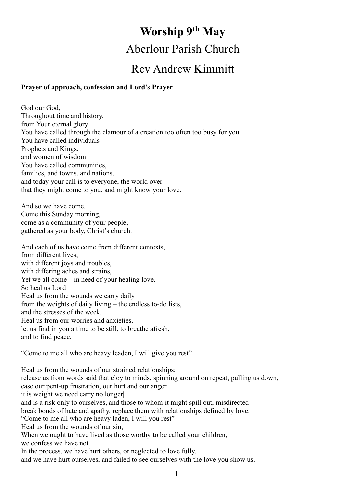# **Worship 9 th May** Aberlour Parish Church Rev Andrew Kimmitt

#### **Prayer of approach, confession and Lord's Prayer**

God our God, Throughout time and history, from Your eternal glory You have called through the clamour of a creation too often too busy for you You have called individuals Prophets and Kings, and women of wisdom You have called communities, families, and towns, and nations, and today your call is to everyone, the world over that they might come to you, and might know your love.

And so we have come. Come this Sunday morning, come as a community of your people, gathered as your body, Christ's church.

And each of us have come from different contexts, from different lives, with different joys and troubles, with differing aches and strains, Yet we all come – in need of your healing love. So heal us Lord Heal us from the wounds we carry daily from the weights of daily living – the endless to-do lists, and the stresses of the week. Heal us from our worries and anxieties. let us find in you a time to be still, to breathe afresh, and to find peace.

"Come to me all who are heavy leaden, I will give you rest"

Heal us from the wounds of our strained relationships; release us from words said that cloy to minds, spinning around on repeat, pulling us down, ease our pent-up frustration, our hurt and our anger it is weight we need carry no longer| and is a risk only to ourselves, and those to whom it might spill out, misdirected break bonds of hate and apathy, replace them with relationships defined by love. "Come to me all who are heavy laden, I will you rest" Heal us from the wounds of our sin, When we ought to have lived as those worthy to be called your children, we confess we have not. In the process, we have hurt others, or neglected to love fully, and we have hurt ourselves, and failed to see ourselves with the love you show us.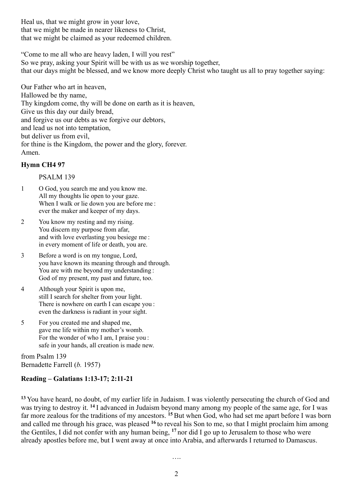Heal us, that we might grow in your love, that we might be made in nearer likeness to Christ, that we might be claimed as your redeemed children.

"Come to me all who are heavy laden, I will you rest"

So we pray, asking your Spirit will be with us as we worship together,

that our days might be blessed, and we know more deeply Christ who taught us all to pray together saying:

Our Father who art in heaven, Hallowed be thy name, Thy kingdom come, thy will be done on earth as it is heaven, Give us this day our daily bread, and forgive us our debts as we forgive our debtors, and lead us not into temptation, but deliver us from evil, for thine is the Kingdom, the power and the glory, forever. Amen.

## **Hymn CH4 97**

#### PSALM 139

- 1 O God, you search me and you know me. All my thoughts lie open to your gaze. When I walk or lie down you are before me : ever the maker and keeper of my days.
- 2 You know my resting and my rising. You discern my purpose from afar, and with love everlasting you besiege me : in every moment of life or death, you are.
- 3 Before a word is on my tongue, Lord, you have known its meaning through and through. You are with me beyond my understanding : God of my present, my past and future, too.
- 4 Although your Spirit is upon me, still I search for shelter from your light. There is nowhere on earth I can escape you : even the darkness is radiant in your sight.
- 5 For you created me and shaped me, gave me life within my mother's womb. For the wonder of who I am, I praise you : safe in your hands, all creation is made new.

from Psalm 139 Bernadette Farrell (*b.* 1957)

# **Reading – Galatians 1:13-17; 2:11-21**

**<sup>13</sup>** You have heard, no doubt, of my earlier life in Judaism. I was violently persecuting the church of God and was trying to destroy it. **<sup>14</sup>** I advanced in Judaism beyond many among my people of the same age, for I was far more zealous for the traditions of my ancestors. <sup>15</sup>But when God, who had set me apart before I was born and called me through his grace, was pleased **<sup>16</sup>** to reveal his Son to me, so that I might proclaim him among the Gentiles, I did not confer with any human being, <sup>17</sup> nor did I go up to Jerusalem to those who were already apostles before me, but I went away at once into Arabia, and afterwards I returned to Damascus.

….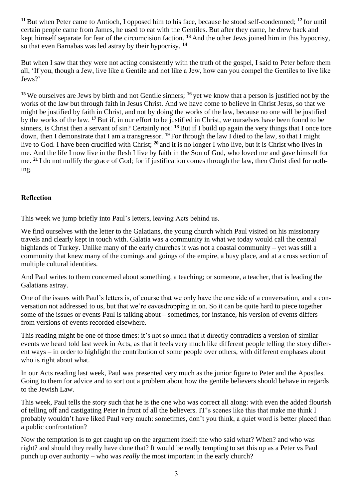**<sup>11</sup>**But when Peter came to Antioch, I opposed him to his face, because he stood self-condemned; **<sup>12</sup>** for until certain people came from James, he used to eat with the Gentiles. But after they came, he drew back and kept himself separate for fear of the circumcision faction. **<sup>13</sup>** And the other Jews joined him in this hypocrisy, so that even Barnabas was led astray by their hypocrisy. **<sup>14</sup>**

But when I saw that they were not acting consistently with the truth of the gospel, I said to Peter before them all, 'If you, though a Jew, live like a Gentile and not like a Jew, how can you compel the Gentiles to live like Jews?'

**<sup>15</sup>** We ourselves are Jews by birth and not Gentile sinners; **<sup>16</sup>** yet we know that a person is justified not by the works of the law but through faith in Jesus Christ. And we have come to believe in Christ Jesus, so that we might be justified by faith in Christ, and not by doing the works of the law, because no one will be justified by the works of the law. **<sup>17</sup>**But if, in our effort to be justified in Christ, we ourselves have been found to be sinners, is Christ then a servant of sin? Certainly not! <sup>18</sup> But if I build up again the very things that I once tore down, then I demonstrate that I am a transgressor. **<sup>19</sup>** For through the law I died to the law, so that I might live to God. I have been crucified with Christ; <sup>20</sup> and it is no longer I who live, but it is Christ who lives in me. And the life I now live in the flesh I live by faith in the Son of God, who loved me and gave himself for me. **<sup>21</sup>** I do not nullify the grace of God; for if justification comes through the law, then Christ died for nothing.

# **Reflection**

This week we jump briefly into Paul's letters, leaving Acts behind us.

We find ourselves with the letter to the Galatians, the young church which Paul visited on his missionary travels and clearly kept in touch with. Galatia was a community in what we today would call the central highlands of Turkey. Unlike many of the early churches it was not a coastal community – yet was still a community that knew many of the comings and goings of the empire, a busy place, and at a cross section of multiple cultural identities.

And Paul writes to them concerned about something, a teaching; or someone, a teacher, that is leading the Galatians astray.

One of the issues with Paul's letters is, of course that we only have the one side of a conversation, and a conversation not addressed to us, but that we're eavesdropping in on. So it can be quite hard to piece together some of the issues or events Paul is talking about – sometimes, for instance, his version of events differs from versions of events recorded elsewhere.

This reading might be one of those times: it's not so much that it directly contradicts a version of similar events we heard told last week in Acts, as that it feels very much like different people telling the story different ways – in order to highlight the contribution of some people over others, with different emphases about who is right about what.

In our Acts reading last week, Paul was presented very much as the junior figure to Peter and the Apostles. Going to them for advice and to sort out a problem about how the gentile believers should behave in regards to the Jewish Law.

This week, Paul tells the story such that he is the one who was correct all along: with even the added flourish of telling off and castigating Peter in front of all the believers. IT's scenes like this that make me think I probably wouldn't have liked Paul very much: sometimes, don't you think, a quiet word is better placed than a public confrontation?

Now the temptation is to get caught up on the argument itself: the who said what? When? and who was right? and should they really have done that? It would be really tempting to set this up as a Peter vs Paul punch up over authority – who was *really* the most important in the early church?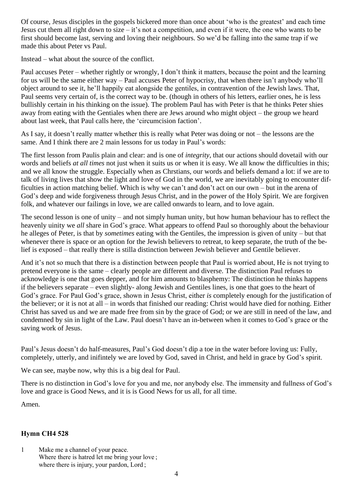Of course, Jesus disciples in the gospels bickered more than once about 'who is the greatest' and each time Jesus cut them all right down to size – it's not a competition, and even if it were, the one who wants to be first should become last, serving and loving their neighbours. So we'd be falling into the same trap if we made this about Peter vs Paul.

Instead – what about the source of the conflict.

Paul accuses Peter – whether rightly or wrongly, I don't think it matters, because the point and the learning for us will be the same either way – Paul accuses Peter of hypocrisy, that when there isn't anybody who'll object around to see it, he'll happily eat alongside the gentiles, in contravention of the Jewish laws. That, Paul seems very certain of, is the correct way to be. (though in others of his letters, earlier ones, he is less bullishly certain in his thinking on the issue). The problem Paul has with Peter is that he thinks Peter shies away from eating with the Gentiales when there are Jews around who might object – the group we heard about last week, that Paul calls here, the 'circumcision faction'.

As I say, it doesn't really matter whether this is really what Peter was doing or not – the lessons are the same. And I think there are 2 main lessons for us today in Paul's words:

The first lesson from Paulis plain and clear: and is one of *integrity*, that our actions should dovetail with our words and beliefs *at all times* not just when it suits us or when it is easy. We all know the difficulties in this; and we all know the struggle. Especially when as Chrstians, our words and beliefs demand a lot: if we are to talk of living lives that show the light and love of God in the world, we are inevitably going to encounter difficulties in action matching belief. Which is why we can't and don't act on our own – but in the arena of God's deep and wide forgiveness through Jesus Christ, and in the power of the Holy Spirit. We are forgiven folk, and whatever our failings in love, we are called onwards to learn, and to love again.

The second lesson is one of unity – and not simply human unity, but how human behaviour has to reflect the heavenly uinity we *all* share in God's grace. What appears to offend Paul so thoroughly about the behaviour he alleges of Peter, is that by *sometimes* eating with the Gentiles, the impression is given of unity – but that whenever there is space or an option for the Jewish believers to retreat, to keep separate, the truth of the belief is exposed – that really there is stilla distinction between Jewish believer and Gentile believer.

And it's not so much that there is a distinction between people that Paul is worried about, He is not trying to pretend everyone is the same – clearly people are different and diverse. The distinction Paul refuses to acknowledge is one that goes depper, and for him amounts to blasphemy: The distinction he thinks happens if the believers separate – even slightly- along Jewish and Gentiles lines, is one that goes to the heart of God's grace. For Paul God's grace, shown in Jesus Christ, either *is* completely enough for the justification of the believer; or it is not at all – in words that finished our reading: Christ would have died for nothing. Either Christ has saved us and we are made free from sin by the grace of God; or we are still in need of the law, and condemned by sin in light of the Law. Paul doesn't have an in-between when it comes to God's grace or the saving work of Jesus.

Paul's Jesus doesn't do half-measures, Paul's God doesn't dip a toe in the water before loving us: Fully, completely, utterly, and inifintely we are loved by God, saved in Christ, and held in grace by God's spirit.

We can see, maybe now, why this is a big deal for Paul.

There is no distinction in God's love for you and me, nor anybody else. The immensity and fullness of God's love and grace is Good News, and it is is Good News for us all, for all time.

Amen.

## **Hymn CH4 528**

1 Make me a channel of your peace. Where there is hatred let me bring your love ; where there is injury, your pardon, Lord;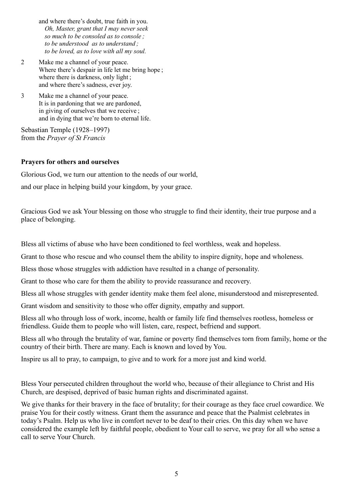- and where there's doubt, true faith in you. *Oh, Master, grant that I may never seek so much to be consoled as to console ; to be understood as to understand ; to be loved, as to love with all my soul.*
- 2 Make me a channel of your peace. Where there's despair in life let me bring hope; where there is darkness, only light; and where there's sadness, ever joy.
- 3 Make me a channel of your peace. It is in pardoning that we are pardoned, in giving of ourselves that we receive ; and in dying that we're born to eternal life.

Sebastian Temple (1928–1997) from the *Prayer of St Francis*

# **Prayers for others and ourselves**

Glorious God, we turn our attention to the needs of our world, and our place in helping build your kingdom, by your grace.

Gracious God we ask Your blessing on those who struggle to find their identity, their true purpose and a place of belonging.

Bless all victims of abuse who have been conditioned to feel worthless, weak and hopeless.

Grant to those who rescue and who counsel them the ability to inspire dignity, hope and wholeness.

Bless those whose struggles with addiction have resulted in a change of personality.

Grant to those who care for them the ability to provide reassurance and recovery.

Bless all whose struggles with gender identity make them feel alone, misunderstood and misrepresented.

Grant wisdom and sensitivity to those who offer dignity, empathy and support.

Bless all who through loss of work, income, health or family life find themselves rootless, homeless or friendless. Guide them to people who will listen, care, respect, befriend and support.

Bless all who through the brutality of war, famine or poverty find themselves torn from family, home or the country of their birth. There are many. Each is known and loved by You.

Inspire us all to pray, to campaign, to give and to work for a more just and kind world.

Bless Your persecuted children throughout the world who, because of their allegiance to Christ and His Church, are despised, deprived of basic human rights and discriminated against.

We give thanks for their bravery in the face of brutality; for their courage as they face cruel cowardice. We praise You for their costly witness. Grant them the assurance and peace that the Psalmist celebrates in today's Psalm. Help us who live in comfort never to be deaf to their cries. On this day when we have considered the example left by faithful people, obedient to Your call to serve, we pray for all who sense a call to serve Your Church.